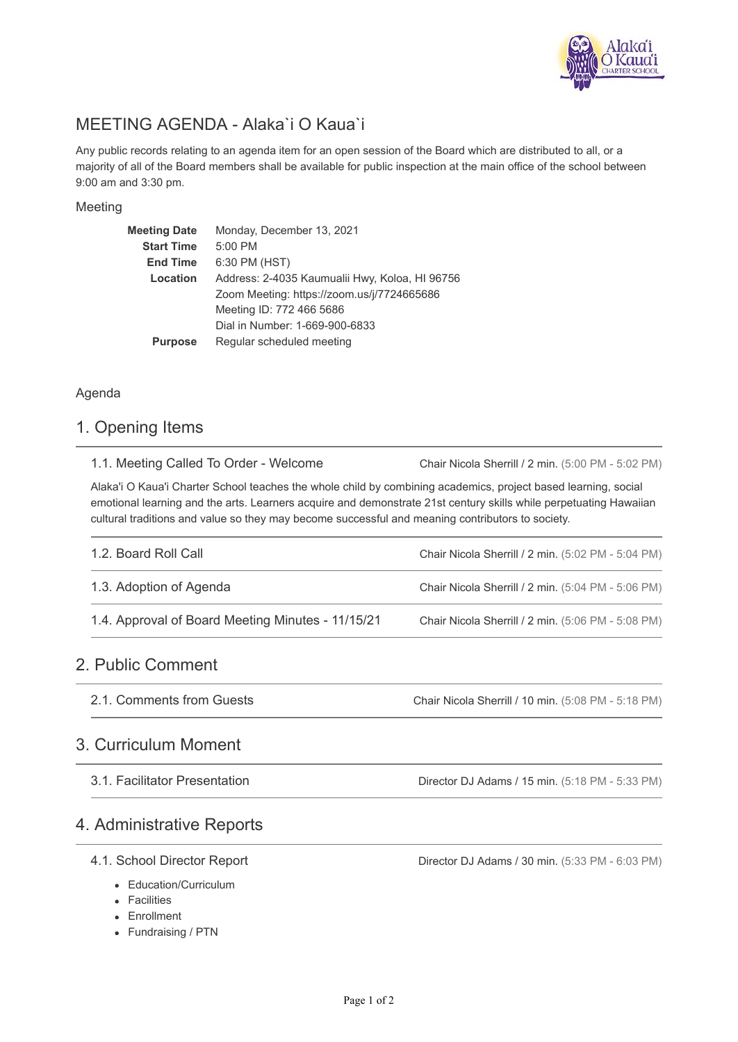

# MEETING AGENDA - Alaka`i O Kaua`i

Any public records relating to an agenda item for an open session of the Board which are distributed to all, or a majority of all of the Board members shall be available for public inspection at the main office of the school between 9:00 am and 3:30 pm.

### Meeting

| <b>Meeting Date</b> | Monday, December 13, 2021                      |  |  |  |  |
|---------------------|------------------------------------------------|--|--|--|--|
| <b>Start Time</b>   | 5:00 PM                                        |  |  |  |  |
| <b>End Time</b>     | 6:30 PM (HST)                                  |  |  |  |  |
| Location            | Address: 2-4035 Kaumualii Hwy, Koloa, HI 96756 |  |  |  |  |
|                     | Zoom Meeting: https://zoom.us/j/7724665686     |  |  |  |  |
|                     | Meeting ID: 772 466 5686                       |  |  |  |  |
|                     | Dial in Number: 1-669-900-6833                 |  |  |  |  |
| <b>Purpose</b>      | Regular scheduled meeting                      |  |  |  |  |

## Agenda

## 1. Opening Items

|  |  |  |  |  |  | 1.1. Meeting Called To Order - Welcome |  |
|--|--|--|--|--|--|----------------------------------------|--|
|--|--|--|--|--|--|----------------------------------------|--|

Chair Nicola Sherrill / 2 min. (5:00 PM - 5:02 PM)

Alaka'i O Kaua'i Charter School teaches the whole child by combining academics, project based learning, social emotional learning and the arts. Learners acquire and demonstrate 21st century skills while perpetuating Hawaiian cultural traditions and value so they may become successful and meaning contributors to society.

| 1.2. Board Roll Call                              | Chair Nicola Sherrill / 2 min. (5:02 PM - 5:04 PM) |
|---------------------------------------------------|----------------------------------------------------|
| 1.3. Adoption of Agenda                           | Chair Nicola Sherrill / 2 min. (5:04 PM - 5:06 PM) |
| 1.4. Approval of Board Meeting Minutes - 11/15/21 | Chair Nicola Sherrill / 2 min. (5:06 PM - 5:08 PM) |

# 2. Public Comment

Chair Nicola Sherrill / 10 min. (5:08 PM - 5:18 PM) 2.1. Comments from Guests

# 3. Curriculum Moment

3.1. Facilitator Presentation

Director DJ Adams / 15 min. (5:18 PM - 5:33 PM)

# 4. Administrative Reports

## 4.1. School Director Report

- Education/Curriculum
- Facilities
- Enrollment
- Fundraising / PTN

Director DJ Adams / 30 min. (5:33 PM - 6:03 PM)